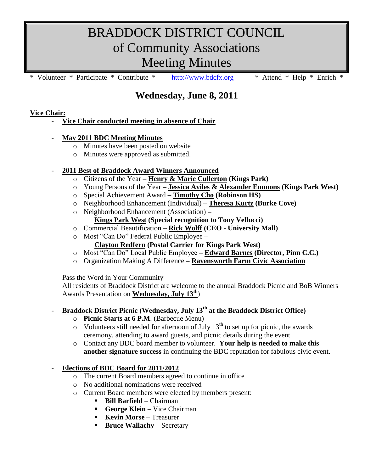# BRADDOCK DISTRICT COUNCIL of Community Associations Meeting Minutes

Volunteer \* Participate \* Contribute \* [http://www.bdcfx.org](http://www.bdcfx.org/) \* Attend \* Help \* Enrich

# **Wednesday, June 8, 2011**

# **Vice Chair:**

- **Vice Chair conducted meeting in absence of Chair**

### - **May 2011 BDC Meeting Minutes**

- o Minutes have been posted on website
- o Minutes were approved as submitted.

# - **2011 Best of Braddock Award Winners Announced**

- o Citizens of the Year **– Henry & Marie Cullerton (Kings Park)**
- o Young Persons of the Year **– Jessica Aviles & Alexander Emmons (Kings Park West)**
- o Special Achievement Award **– Timothy Cho (Robinson HS)**
- o Neighborhood Enhancement (Individual) **– Theresa Kurtz (Burke Cove)**
- o Neighborhood Enhancement (Association) **–**

# **Kings Park West (Special recognition to Tony Vellucci)**

- o Commercial Beautification **– Rick Wolff (CEO - University Mall)**
- o Most "Can Do" Federal Public Employee **–**
	- **Clayton Redfern (Postal Carrier for Kings Park West)**
- o Most "Can Do" Local Public Employee **– Edward Barnes (Director, Pinn C.C.)**
- o Organization Making A Difference **– Ravensworth Farm Civic Association**

Pass the Word in Your Community –

All residents of Braddock District are welcome to the annual Braddock Picnic and BoB Winners Awards Presentation on **Wednesday, July 13th**)

# - **Braddock District Picnic (Wednesday, July 13th at the Braddock District Office)**

- o **Picnic Starts at 6 P.M**. (Barbecue Menu)
- $\circ$  Volunteers still needed for afternoon of July 13<sup>th</sup> to set up for picnic, the awards ceremony, attending to award guests, and picnic details during the event
- o Contact any BDC board member to volunteer. **Your help is needed to make this another signature success** in continuing the BDC reputation for fabulous civic event.

### - **Elections of BDC Board for 2011/2012**

- o The current Board members agreed to continue in office
- o No additional nominations were received
- o Current Board members were elected by members present:
	- **Bill Barfield** Chairman
	- **George Klein** Vice Chairman
	- **Kevin Morse** Treasurer
	- **Bruce Wallachy** Secretary